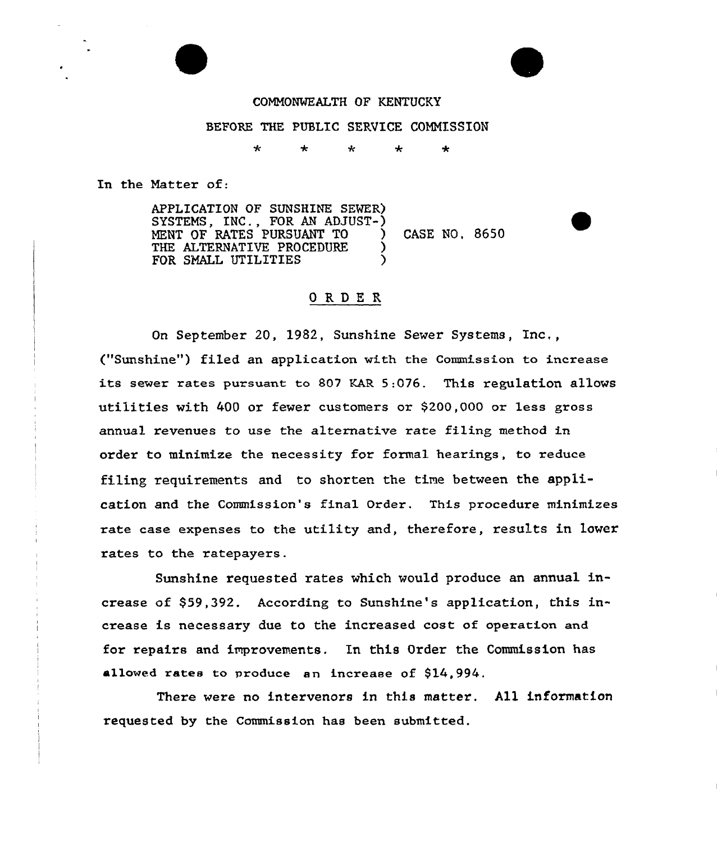## COMMONWEALTH OF KENTUCKY

### BEFORE THE PUBLIC SERVICE COMMISSION

سایہ مار ÷  $\star$ 

In the Matter of:

APPLICATION OF SUNSHINE SEVER) SYSTEMS, INC., FOR AN ADJUST-) MENT OF RATES PURSUANT TO (CASE NO, 8650) THE ALTERNATIVE PROCEDURE FOR SMALL UTILITIES

## ORDER

On September 20, 1982, Sunshine Sewer Systems, Inc,, ("Sunshine") filed an application with the Commission to increase its sewer rates pursuant to 807 EAR 5:076. This regulation allows utilities with 400 or fewer customers or \$200,000 or less gross annual revenues to use the alternative rate filing method in order to minimize the necessity for formal hearings, to reduce filing requirements and to shorten the time between the application and the Commission's final Order. This procedure minimizes rate case expenses to the utility and, therefore, results in lower rates to the ratepayers.

Sunshine requested rates which would produce an annual increase of \$59,392. According to Sunshine's application, this increase is necessary due to the increased cost of operation and for repairs and improvements. In this Order the Commission has allowed rates to produce an increase of \$14,994.

There were no intervenors in this matter. All information requested by the Commission has been submitted.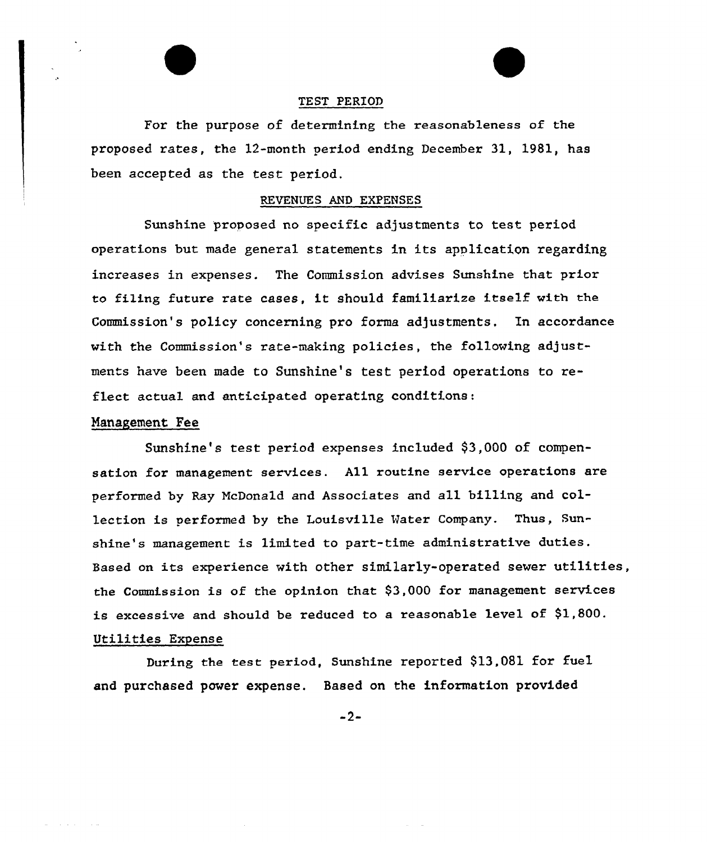#### TEST PERIOD

For the purpose of determining the reasonableness of the proposed rates, the 12-month period ending December 31, 1981, has been accepted as the test period.

#### REVENUES AND EXPENSES

Sunshine proposed no specific adjustments to test period operations but made general statements In its application regarding increases in expenses. The Commission advises Sunshine that prior to filing future rate cases, it should familiarize itself with the Commission's policy concerning pro forma adjustments, In accordance with the Commission's rate-making policies, the following adjustments have been made to Sunshine's test period operations to reflect actual and anticipated operating conditions:

## Management Fee

and a strip of the

Sunshine's test period expenses included \$3,000 of compensation for management services. All routine service operations are performed by Ray NcDonald and Associates and all billing and collection is performed by the Louisville Hater Company. Thus, Sunshine's management is limited to part-time administrative duties. Based on its experience with other similarly-operated sewer utilities, the Commission is of the opinion that \$3,000 for management services is excessive and should be reduced to a reasonable level of  $$1,800$ . Utilities Expense

During the test period, Sunshine reported \$13,081 for fuel and purchased power expense. Based on the information provided

 $-2-$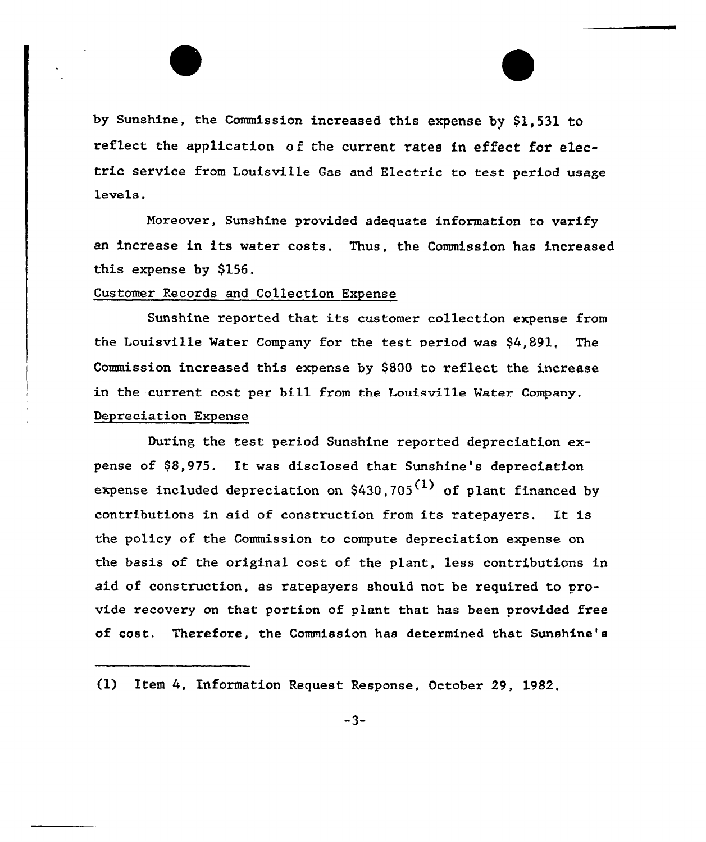by Sunshine, the Commission increased this expense by \$1,531 to reflect the application of the current rates in effect for electric service from Louisville Gas and Electric to test period usage levels.

Moreover, Sunshine provided adequate information to verify an increase in its water costs. Thus, the Commission has increased this expense by \$156.

## Customer Records and Collection Expense

Sunshine reported that its customer collection expense from the Louisville Vater Company for the test period was \$4,891, The Commission increased this expense by \$800 to reflect the increase in the current cost per bill from the Louisville Mater Company, Depreciation Expense

During the test period Sunshine reported depreciation expense of 98,975. It was disclosed that Sunshine's depreciation expense included depreciation on  $$430.705<sup>(1)</sup>$  of plant financed by contributions in aid of construction from its ratepayers. It is the policy of the Commission to compute depreciation expense on the basis of the original cost of the plant, less contributions in aid of construction, as ratepayers should not be required to provide recovery on that portion of plant that has been provided free of cost. Therefore, the Commission has determined that Sunshine's

<sup>(1)</sup> Item 4, Information Request Response, October 29, 1982,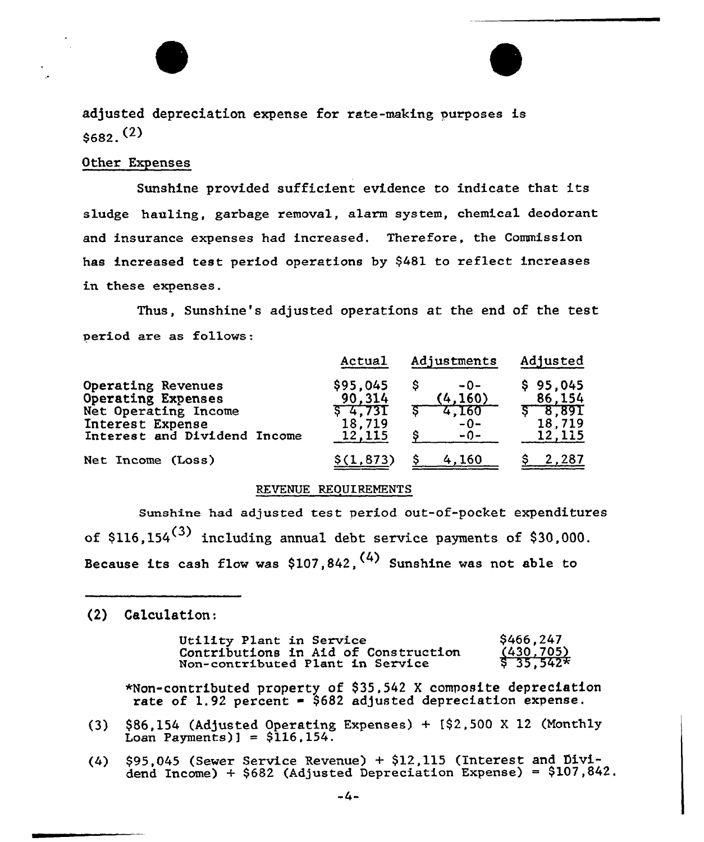

adjusted depreciation expense for rate-making purposes is  $$682.$ <sup>(2)</sup>

## Other Expenses

Sunshine provided sufficient evidence to indicate that its sludge hauling, garbage removal, alarm system, chemical deodorant and insurance expenses had increased. Therefore, the Commission has increased test period operations by \$481 to reflect increases in these expenses.

Thus, Sunshine's adjusted operations at the end of the test period are as follows:

|                                                                                                                      | Actual                                              | Adjustments                                | Adjusted                                        |
|----------------------------------------------------------------------------------------------------------------------|-----------------------------------------------------|--------------------------------------------|-------------------------------------------------|
| Operating Revenues<br>Operating Expenses<br>Net Operating Income<br>Interest Expense<br>Interest and Dividend Income | \$95,045<br>90.314<br>5, 4, 73I<br>18,719<br>12,115 | $-0-$<br>(4, 160)<br>4,160<br>$-0-$<br>⊶∩⊸ | 95.045<br>86,154<br>\$8.891<br>18,719<br>12,115 |
| Net Income (Loss)                                                                                                    | \$(1, 873)                                          | 4.160                                      | 2.287                                           |

#### REVENUE REOUIREMENTS

Sunshine had adjusted test period out-of-pocket expenditures of  $$116,154<sup>(3)</sup>$  including annual debt service payments of \$30,000. Because its cash flow was \$107,842,  $(4)$  Sunshine was not able to

(2) Calculation:

| Utility Plant in Service |                                      | \$466,247             |
|--------------------------|--------------------------------------|-----------------------|
|                          | Contributions in Aid of Construction | $\frac{(430,705)}{$}$ |
|                          | Non-contributed Plant in Service     |                       |

\*Non-contributed property of \$ 35,542 <sup>X</sup> composite depreciation rate of 1.92 percent =  $$682$  adjusted depreciation expense.

- (3) \$86,154 (Adjusted Operating Expenses) + [\$2,500 <sup>X</sup> 12 (Monthly Loan Payments) $] = $116, 154.$
- (4) \$95,045 (Sewer Service Revenue) + \$12,115 (Interest and Dividend Income) +  $$682$  (Adjusted Depreciation Expense) =  $$107,842$ .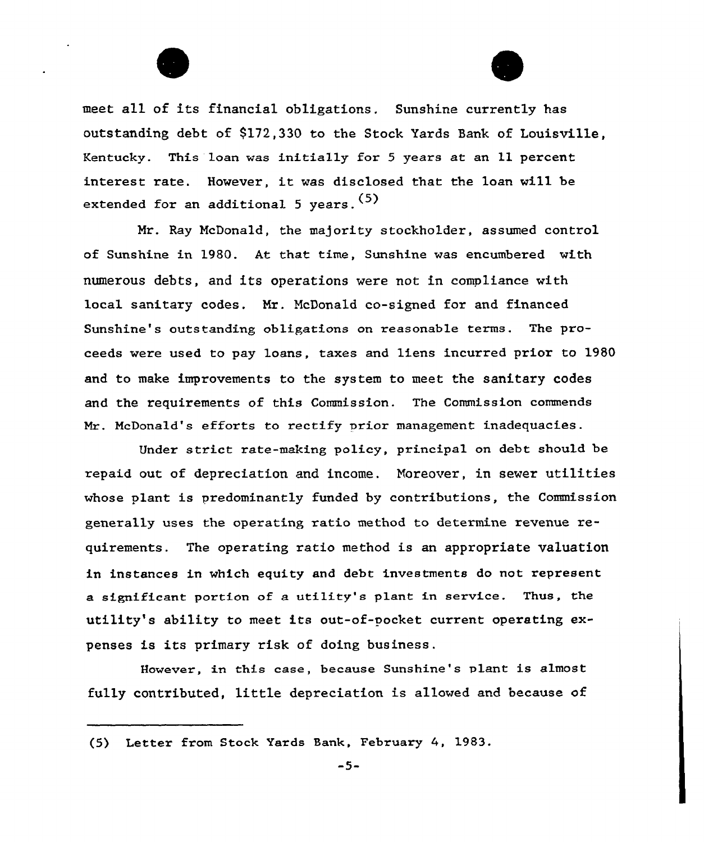

meet al1 of its financial obligations. Sunshine currently has outstanding debt of \$172,330 to the Stock Yards Sank of Louisville, Kentucky. This loan was initially for <sup>5</sup> years at an 11 percent interest rate. However, it vas disclosed that the loan will be extended for an additional 5 years. (5)

Mr. Ray McDonald, the majority stockholder, assumed control of Sunshine in 1980. At that time, Sunshine was encumbered with numerous debts, and its operations vere not in compliance with local sanitary codes. Mr. McDonald co-signed for and financed Sunshine's outstanding obligations on reasonable terms. The proceeds were used to pay loans, taxes and liens incurred prior to 1980 and to make improvements to the system to meet the sanitary codes and the requirements of this Commission. The Commission commends Mr. McDonald's efforts to rectify prior management inadequacies.

Under strict rate-making policy, principal on debt should. be repaid out of depreciation and income. Moreover, in sewer utilities whose plant is predominantly funded by contributions, the Commission generally uses the operating ratio method to determine revenue requirements. The opexating ratio method is an appropriate valuation in instances in which equity and debt investments do not represent a significant portion of a utility's plant in service. Thus, the utility's ability to meet its out-of-pocket current operating expenses is its primary risk of doing business.

However, in this case, because Sunshine's plant is almost fully contributed, litt1e depreciation is allowed and because of

<sup>(5)</sup> Letter from Stock Yards Bank, February 4, 1983.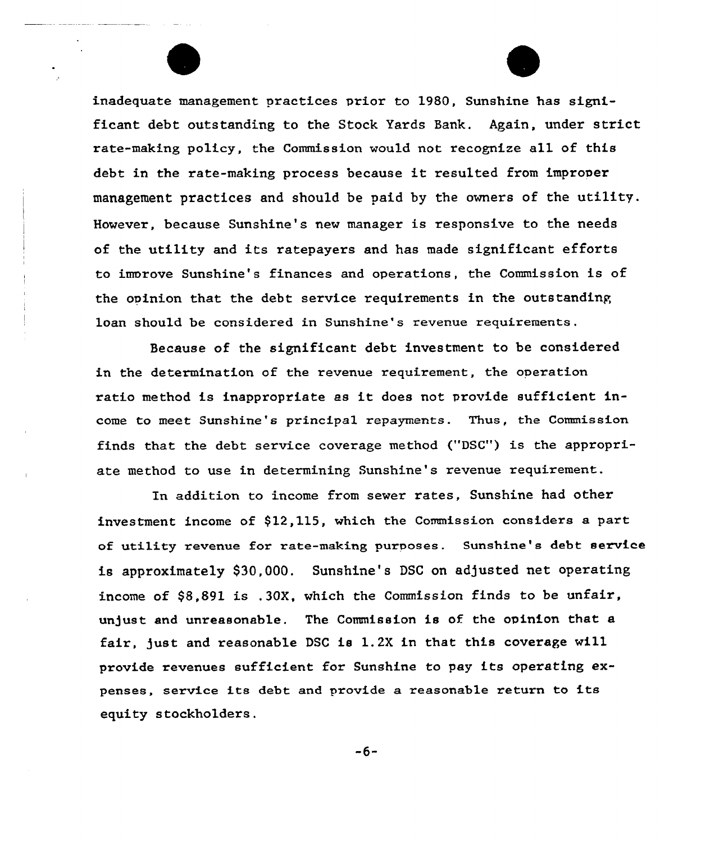inadequate management practices prior to 1980, Sunshine has significant debt outstanding to the Stock Yards Bank. Again, under strict rate-making policy, the Commission would not recognize all of this debt in the rate-making process because it resulted from improver management practices and should be paid by the owners of the utility, However, because Sunshine's new manager is responsive to the needs of the utility and its ratepayers and has made significant efforts to imorove Sunshine's finances and operations, the Commission is of the opinion that the debt service requirements in the outstanding loan should be considered in Sunshine's revenue requirements.

Because of the significant debt investment to be considered in the determination of the revenue requirement, the operation ratio method is inappropriate as it does not provide sufficient income to meet Sunshine's principal repayments. Thus, the Commission finds that the debt service coverage method {"DSC") is the appropriate method to use in determining Sunshine's revenue requirement.

In addition to income from sewer rates, Sunshine had other investment income of \$12,115, which the Commission considers a part of utility revenue for rate-making purposes. Sunshine's debt service is approximately \$30,000. Sunshine's DSC on adjusted net operating income of  $$8.891$  is .30X, which the Commission finds to be unfair, unjust and unreasonable. The Commission is of the opinion that a fair, )ust and reasonable DSC is 1.2X in that this coverage will provide revenues sufficient for Sunshine to pay its operating expenses, service its debt and provide a reasonable return to its equity stockholders.

 $-6-$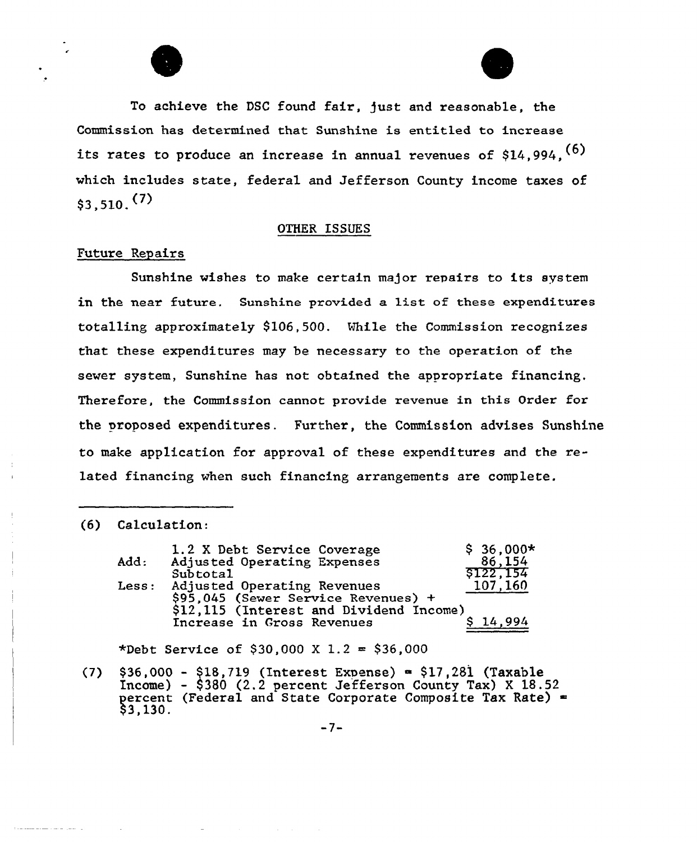



To achieve the DSC found fair, just and reasonable, the Commission has determined that Sunshine is entitled to increase its rates to produce an increase in annual revenues of  $$14,994$ ,  $^{(6)}$ which includes state, federal and Jefferson County income taxes of  $$3,510, (7)$ 

#### OTHER ISSUES

## Future Repairs

Sunshine wishes to make certain major repairs to its system in the near future. Sunshine provided a list of these expenditures totalling approximately \$ 106,500. While the Commission recognizes that these expenditures may be necessary to the operation of the sewer system, Sunshine has not obtained the appropriate financing. Therefore, the Commission cannot provide revenue in this Order for the proposed expenditures. Further, the Commission advises Sunshine to make application for approval of these expenditures and the related financing when such financing arrangements are complete.

#### (6) Calculation:

|                      | 1.2 X Debt Service Coverage             | $$36,000*$ |
|----------------------|-----------------------------------------|------------|
| Add:                 | Adjusted Operating Expenses             | 86,154     |
|                      | Subtotal                                | \$122,154  |
| $_{\texttt{less}}$ : | Adjusted Operating Revenues             | 107,160    |
|                      | $$95,045$ (Sewer Service Revenues) +    |            |
|                      | \$12,115 (Interest and Dividend Income) |            |
|                      | Increase in Gross Revenues              | 14.994     |

\*Debt Service of \$30,000 X 1.2 = \$36,000

(7) §36,000 - \$18,719 (Interest Expense) = \$17,281 (Taxable Income) - \$ <sup>380</sup> (2.2 percent Jefferson County Tax) <sup>X</sup> 18.52 percent (Federal and State Corporate Composite Tax Rate) =<br>\$3,130.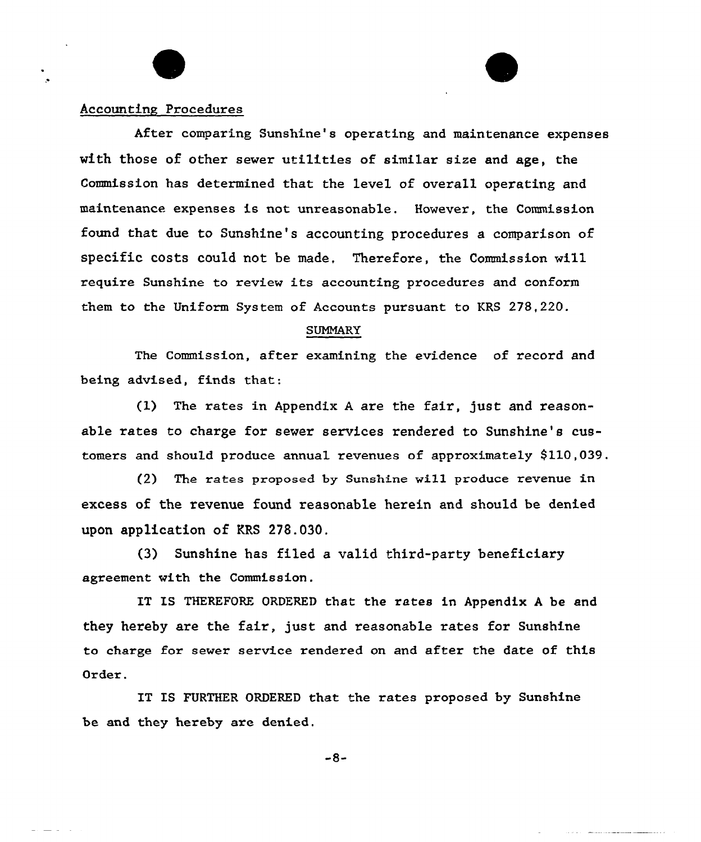# Accounting Procedures

After comparing Sunshine's operating and maintenance expenses with those of other sewer utilities of similar size and age, the Commission has determined that the level of overall operating and maintenance expenses is not unreasonable. However, the Commission found that due to Sunshine's accounting procedures a comparison of specific costs could not be made, Therefore, the Commission will require Sunshine to review its accounting procedures and conform them to the Uniform System of Accounts pursuant to KRS 278,220.

#### SUMMARY

The Commission, after examining the evidence of record and being advised, finds that:

(1) The rates in Appendix <sup>A</sup> are the fair, just and reasonable rates to charge for sewer services rendered to Sunshine's customers and should produce annual revenues of approximately 9110,039,

(2) The rates proposed by Sunshine wi11 produce revenue in excess of the revenue found reasonable herein and should be denied upon application of KRS 278.030.

(3) Sunshine has filed a valid third-party beneficiary agreement with the Commission.

IT IS THEREFORE ORDERED that the rates in Appendix <sup>A</sup> be and they hereby are the fair, just and reasonable rates for Sunshine to charge for sewer service rendered on and after the date of this Order.

IT IS FURTHER ORDERED that the rates proposed by Sunshine be and they hereby are denied.

-8-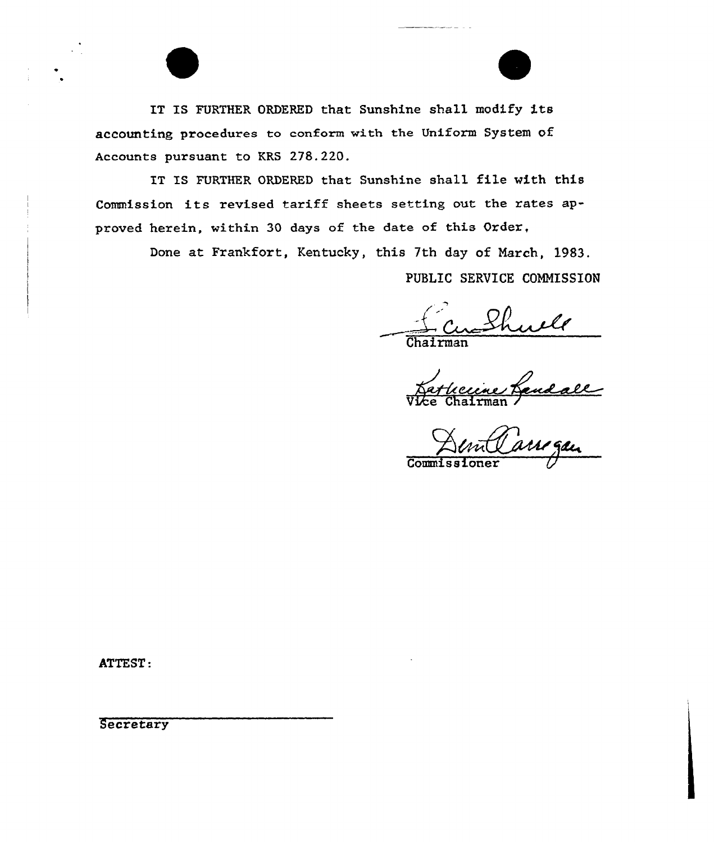IT IS FURTHER ORDERED that Sunshine shall modify its accounting procedures to conform with the Uniform System of Accounts pursuant to KRS 278.220.

IT IS FURTHER ORDERED that Sunshine shall file with this Commission its revised tariff sheets setting out the rates approved herein, within 30 days of the date of this Order,

Done at Frankfort, Kentucky, this 7th day of March, 1983.

PUBLIC SERVICE COMMISSION

well

Chairma

Vice Chairman

 $Commiss$ 

ATTEST:

**Secretary**